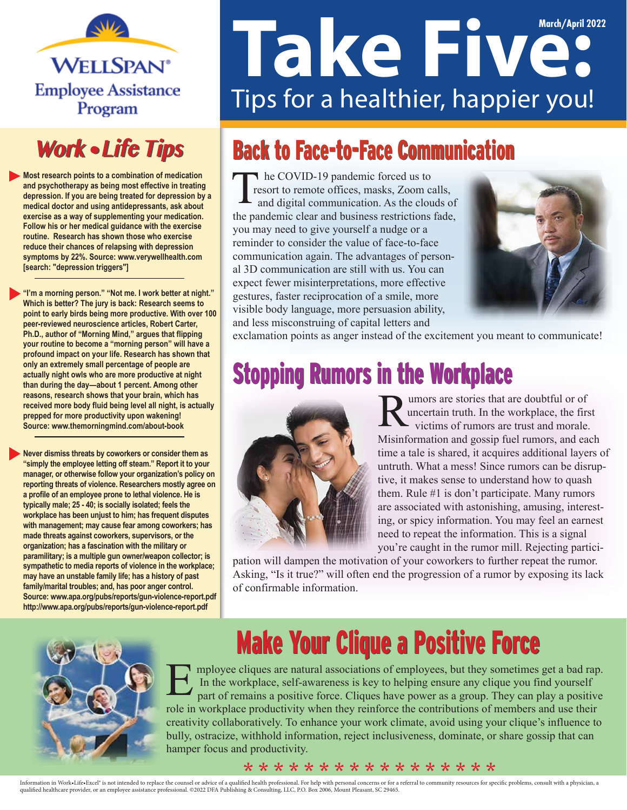

### **Work • Life Tips**

**Most research points to a combination of medication and psychotherapy as being most effective in treating depression. If you are being treated for depression by a medical doctor and using antidepressants, ask about exercise as a way of supplementing your medication. Follow his or her medical guidance with the exercise routine. Research has shown those who exercise reduce their chances of relapsing with depression symptoms by 22%. Source: www.verywellhealth.com [search: "depression triggers"]**

**"I'm a morning person." "Not me. I work better at night." Which is better? The jury is back: Research seems to point to early birds being more productive. With over 100 peer-reviewed neuroscience articles, Robert Carter, Ph.D., author of "Morning Mind," argues that flipping your routine to become a "morning person" will have a profound impact on your life. Research has shown that only an extremely small percentage of people are actually night owls who are more productive at night than during the day—about 1 percent. Among other reasons, research shows that your brain, which has received more body fluid being level all night, is actually prepped for more productivity upon wakening! Source: www.themorningmind.com/about-book** 

**Never dismiss threats by coworkers or consider them as "simply the employee letting off steam." Report it to your manager, or otherwise follow your organization's policy on reporting threats of violence. Researchers mostly agree on a profile of an employee prone to lethal violence. He is typically male; 25 - 40; is socially isolated; feels the workplace has been unjust to him; has frequent disputes with management; may cause fear among coworkers; has made threats against coworkers, supervisors, or the organization; has a fascination with the military or paramilitary; is a multiple gun owner/weapon collector; is sympathetic to media reports of violence in the workplace; may have an unstable family life; has a history of past family/marital troubles; and, has poor anger control. Source: www.apa.org/pubs/reports/gun-violence-report.pdf http://www.apa.org/pubs/reports/gun-violence-report.pdf**

# **March/April 2022** Tips for a healthier, happier you!

### **Back to Face-to-Face Communication**

he COVID-19 pandemic forced us to resort to remote offices, masks, Zoom calls, and digital communication. As the clouds of the pandemic clear and business restrictions fade, you may need to give yourself a nudge or a reminder to consider the value of face-to-face communication again. The advantages of personal 3D communication are still with us. You can expect fewer misinterpretations, more effective gestures, faster reciprocation of a smile, more visible body language, more persuasion ability, and less misconstruing of capital letters and



exclamation points as anger instead of the excitement you meant to communicate!

### Stopping Rumors in the Workplace



umors are stories that are doubtful or of uncertain truth. In the workplace, the first victims of rumors are trust and morale. Misinformation and gossip fuel rumors, and each time a tale is shared, it acquires additional layers of untruth. What a mess! Since rumors can be disruptive, it makes sense to understand how to quash them. Rule #1 is don't participate. Many rumors are associated with astonishing, amusing, interesting, or spicy information. You may feel an earnest need to repeat the information. This is a signal you're caught in the rumor mill. Rejecting partici-

pation will dampen the motivation of your coworkers to further repeat the rumor. Asking, "Is it true?" will often end the progression of a rumor by exposing its lack of confirmable information.



# **Make Your Clique a Positive Force**

mployee cliques are natural associations of employees, but they sometimes get a bad rap. In the workplace, self-awareness is key to helping ensure any clique you find yourself part of remains a positive force. Cliques have power as a group. They can play a positive role in workplace productivity when they reinforce the contributions of members and use their creativity collaboratively. To enhance your work climate, avoid using your clique's influence to bully, ostracize, withhold information, reject inclusiveness, dominate, or share gossip that can hamper focus and productivity.

#### \* \* \* \* \* \* \* \* \* \* \* \* \* \* \* \* \*

Information in Work-Life-Excel<sup>s</sup> is not intended to replace the counsel or advice of a qualified health professional. For help with personal concerns or for a referral to community resources for specific problems, consult qualied healthcare provider, or an employee assistance professional. ©2022 DFA Publishing & Consulting, LLC, P.O. Box 2006, Mount Pleasant, SC 29465.